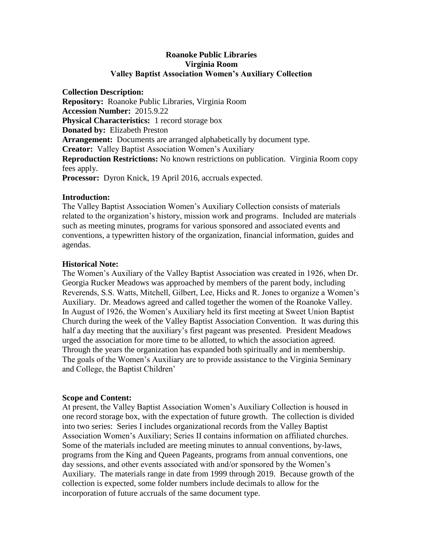# **Roanoke Public Libraries Virginia Room Valley Baptist Association Women's Auxiliary Collection**

**Collection Description: Repository:** Roanoke Public Libraries, Virginia Room **Accession Number:** 2015.9.22 **Physical Characteristics:** 1 record storage box **Donated by:** Elizabeth Preston **Arrangement:** Documents are arranged alphabetically by document type. **Creator:** Valley Baptist Association Women's Auxiliary **Reproduction Restrictions:** No known restrictions on publication. Virginia Room copy fees apply. **Processor:** Dyron Knick, 19 April 2016, accruals expected.

### **Introduction:**

The Valley Baptist Association Women's Auxiliary Collection consists of materials related to the organization's history, mission work and programs. Included are materials such as meeting minutes, programs for various sponsored and associated events and conventions, a typewritten history of the organization, financial information, guides and agendas.

### **Historical Note:**

The Women's Auxiliary of the Valley Baptist Association was created in 1926, when Dr. Georgia Rucker Meadows was approached by members of the parent body, including Reverends, S.S. Watts, Mitchell, Gilbert, Lee, Hicks and R. Jones to organize a Women's Auxiliary. Dr. Meadows agreed and called together the women of the Roanoke Valley. In August of 1926, the Women's Auxiliary held its first meeting at Sweet Union Baptist Church during the week of the Valley Baptist Association Convention. It was during this half a day meeting that the auxiliary's first pageant was presented. President Meadows urged the association for more time to be allotted, to which the association agreed. Through the years the organization has expanded both spiritually and in membership. The goals of the Women's Auxiliary are to provide assistance to the Virginia Seminary and College, the Baptist Children'

## **Scope and Content:**

At present, the Valley Baptist Association Women's Auxiliary Collection is housed in one record storage box, with the expectation of future growth. The collection is divided into two series: Series I includes organizational records from the Valley Baptist Association Women's Auxiliary; Series II contains information on affiliated churches. Some of the materials included are meeting minutes to annual conventions, by-laws, programs from the King and Queen Pageants, programs from annual conventions, one day sessions, and other events associated with and/or sponsored by the Women's Auxiliary. The materials range in date from 1999 through 2019. Because growth of the collection is expected, some folder numbers include decimals to allow for the incorporation of future accruals of the same document type.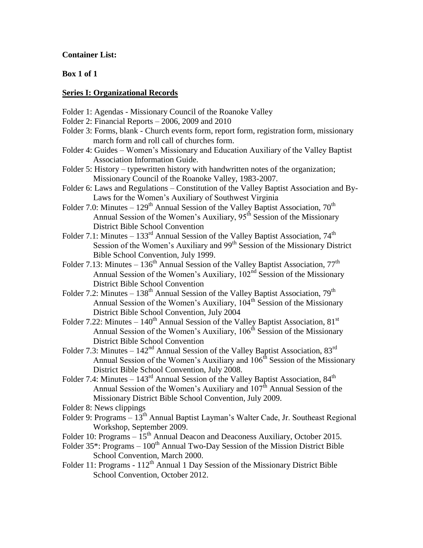## **Container List:**

## **Box 1 of 1**

#### **Series I: Organizational Records**

- Folder 1: Agendas Missionary Council of the Roanoke Valley
- Folder 2: Financial Reports 2006, 2009 and 2010
- Folder 3: Forms, blank Church events form, report form, registration form, missionary march form and roll call of churches form.
- Folder 4: Guides Women's Missionary and Education Auxiliary of the Valley Baptist Association Information Guide.
- Folder 5: History typewritten history with handwritten notes of the organization; Missionary Council of the Roanoke Valley, 1983-2007.
- Folder 6: Laws and Regulations Constitution of the Valley Baptist Association and By-Laws for the Women's Auxiliary of Southwest Virginia
- Folder 7.0: Minutes  $129<sup>th</sup>$  Annual Session of the Valley Baptist Association, 70<sup>th</sup> Annual Session of the Women's Auxiliary,  $95<sup>th</sup>$  Session of the Missionary District Bible School Convention
- Folder 7.1: Minutes  $133<sup>rd</sup>$  Annual Session of the Valley Baptist Association,  $74<sup>th</sup>$ Session of the Women's Auxiliary and 99<sup>th</sup> Session of the Missionary District Bible School Convention, July 1999.
- Folder 7.13: Minutes  $136<sup>th</sup>$  Annual Session of the Valley Baptist Association,  $77<sup>th</sup>$ Annual Session of the Women's Auxiliary, 102<sup>nd</sup> Session of the Missionary District Bible School Convention
- Folder 7.2: Minutes  $138<sup>th</sup>$  Annual Session of the Valley Baptist Association,  $79<sup>th</sup>$ Annual Session of the Women's Auxiliary, 104<sup>th</sup> Session of the Missionary District Bible School Convention, July 2004
- Folder 7.22: Minutes  $140^{\text{th}}$  Annual Session of the Valley Baptist Association,  $81^{\text{st}}$ Annual Session of the Women's Auxiliary,  $106<sup>th</sup>$  Session of the Missionary District Bible School Convention
- Folder 7.3: Minutes  $142<sup>nd</sup>$  Annual Session of the Valley Baptist Association,  $83<sup>rd</sup>$ Annual Session of the Women's Auxiliary and 106<sup>th</sup> Session of the Missionary District Bible School Convention, July 2008.
- Folder 7.4: Minutes  $143^{\text{rd}}$  Annual Session of the Valley Baptist Association,  $84^{\text{th}}$ Annual Session of the Women's Auxiliary and  $107<sup>th</sup>$  Annual Session of the Missionary District Bible School Convention, July 2009.
- Folder 8: News clippings
- Folder 9: Programs 13<sup>th</sup> Annual Baptist Layman's Walter Cade, Jr. Southeast Regional Workshop, September 2009.
- Folder 10: Programs  $15<sup>th</sup>$  Annual Deacon and Deaconess Auxiliary, October 2015.
- Folder  $35^*$ : Programs  $100^{\text{th}}$  Annual Two-Day Session of the Mission District Bible School Convention, March 2000.
- Folder 11: Programs  $112<sup>th</sup>$  Annual 1 Day Session of the Missionary District Bible School Convention, October 2012.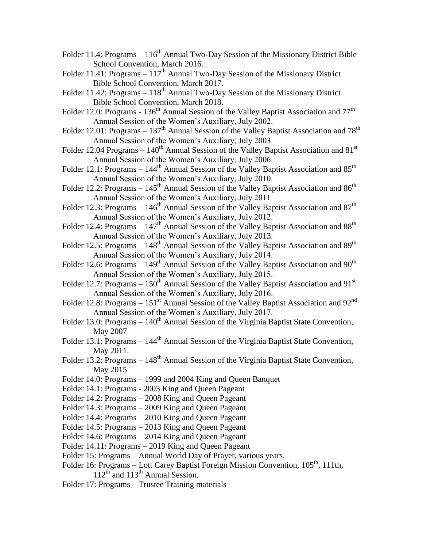- Folder 11.4: Programs  $-116<sup>th</sup>$  Annual Two-Day Session of the Missionary District Bible School Convention, March 2016.
- Folder 11.41: Programs  $-117<sup>th</sup>$  Annual Two-Day Session of the Missionary District Bible School Convention, March 2017.
- Folder 11.42: Programs  $-118<sup>th</sup>$  Annual Two-Day Session of the Missionary District Bible School Convention, March 2018.
- Folder 12.0: Programs  $136<sup>th</sup>$  Annual Session of the Valley Baptist Association and  $77<sup>th</sup>$ Annual Session of the Women's Auxiliary, July 2002.
- Folder 12.01: Programs  $137<sup>th</sup>$  Annual Session of the Valley Baptist Association and  $78<sup>th</sup>$ Annual Session of the Women's Auxiliary, July 2003.
- Folder 12.04 Programs  $140<sup>th</sup>$  Annual Session of the Valley Baptist Association and 81<sup>st</sup> Annual Session of the Women's Auxiliary, July 2006.
- Folder 12.1: Programs  $144<sup>th</sup>$  Annual Session of the Valley Baptist Association and  $85<sup>th</sup>$ Annual Session of the Women's Auxiliary, July 2010.
- Folder 12.2: Programs  $-145<sup>th</sup>$  Annual Session of the Valley Baptist Association and 86<sup>th</sup> Annual Session of the Women's Auxiliary, July 2011
- Folder 12.3: Programs  $146<sup>th</sup>$  Annual Session of the Valley Baptist Association and  $87<sup>th</sup>$ Annual Session of the Women's Auxiliary, July 2012.
- Folder 12.4: Programs  $147<sup>th</sup>$  Annual Session of the Valley Baptist Association and  $88<sup>th</sup>$ Annual Session of the Women's Auxiliary, July 2013.
- Folder 12.5: Programs  $148<sup>th</sup>$  Annual Session of the Valley Baptist Association and  $89<sup>th</sup>$ Annual Session of the Women's Auxiliary, July 2014.
- Folder 12.6: Programs  $149<sup>th</sup>$  Annual Session of the Valley Baptist Association and  $90<sup>th</sup>$ Annual Session of the Women's Auxiliary, July 2015.
- Folder 12.7: Programs  $-150^{th}$  Annual Session of the Valley Baptist Association and 91<sup>st</sup> Annual Session of the Women's Auxiliary, July 2016.
- Folder 12.8: Programs  $151<sup>st</sup>$  Annual Session of the Valley Baptist Association and 92<sup>nd</sup> Annual Session of the Women's Auxiliary, July 2017.
- Folder 13.0: Programs  $-140<sup>th</sup>$  Annual Session of the Virginia Baptist State Convention, May 2007
- Folder 13.1: Programs  $-144<sup>th</sup>$  Annual Session of the Virginia Baptist State Convention, May 2011.
- Folder 13.2: Programs  $-148<sup>th</sup>$  Annual Session of the Virginia Baptist State Convention, May 2015
- Folder 14.0: Programs 1999 and 2004 King and Queen Banquet
- Folder 14.1: Programs 2003 King and Queen Pageant
- Folder 14.2: Programs 2008 King and Queen Pageant
- Folder 14.3: Programs 2009 King and Queen Pageant
- Folder 14.4: Programs 2010 King and Queen Pageant
- Folder 14.5: Programs 2013 King and Queen Pageant
- Folder 14.6: Programs 2014 King and Queen Pageant
- Folder 14.11: Programs 2019 King and Queen Pageant
- Folder 15: Programs Annual World Day of Prayer, various years.
- Folder 16: Programs Lott Carey Baptist Foreign Mission Convention, 105<sup>th</sup>, 111th,  $112<sup>th</sup>$  and  $113<sup>th</sup>$  Annual Session.
- Folder 17: Programs Trustee Training materials